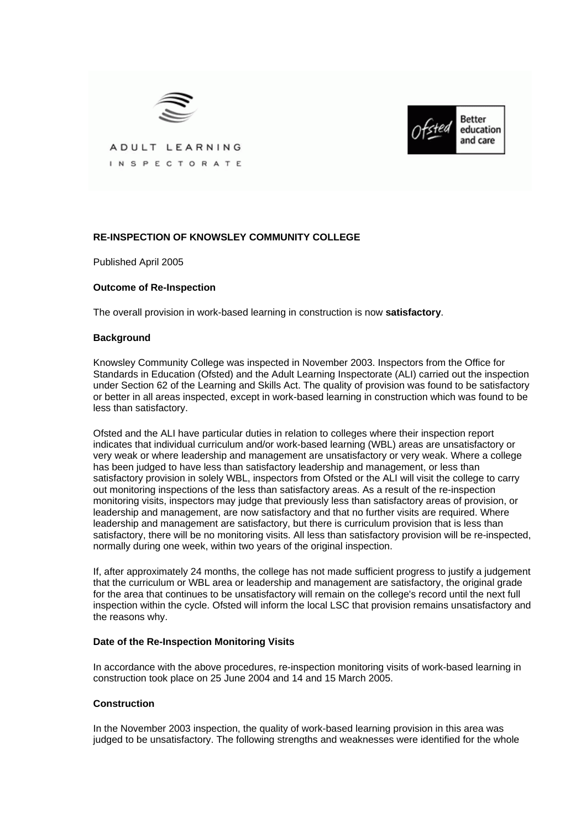



ADULT LEARNING INSPECTORATE

# **RE-INSPECTION OF KNOWSLEY COMMUNITY COLLEGE**

Published April 2005

## **Outcome of Re-Inspection**

The overall provision in work-based learning in construction is now **satisfactory**.

#### **Background**

Knowsley Community College was inspected in November 2003. Inspectors from the Office for Standards in Education (Ofsted) and the Adult Learning Inspectorate (ALI) carried out the inspection under Section 62 of the Learning and Skills Act. The quality of provision was found to be satisfactory or better in all areas inspected, except in work-based learning in construction which was found to be less than satisfactory.

Ofsted and the ALI have particular duties in relation to colleges where their inspection report indicates that individual curriculum and/or work-based learning (WBL) areas are unsatisfactory or very weak or where leadership and management are unsatisfactory or very weak. Where a college has been judged to have less than satisfactory leadership and management, or less than satisfactory provision in solely WBL, inspectors from Ofsted or the ALI will visit the college to carry out monitoring inspections of the less than satisfactory areas. As a result of the re-inspection monitoring visits, inspectors may judge that previously less than satisfactory areas of provision, or leadership and management, are now satisfactory and that no further visits are required. Where leadership and management are satisfactory, but there is curriculum provision that is less than satisfactory, there will be no monitoring visits. All less than satisfactory provision will be re-inspected, normally during one week, within two years of the original inspection.

If, after approximately 24 months, the college has not made sufficient progress to justify a judgement that the curriculum or WBL area or leadership and management are satisfactory, the original grade for the area that continues to be unsatisfactory will remain on the college's record until the next full inspection within the cycle. Ofsted will inform the local LSC that provision remains unsatisfactory and the reasons why.

#### **Date of the Re-Inspection Monitoring Visits**

In accordance with the above procedures, re-inspection monitoring visits of work-based learning in construction took place on 25 June 2004 and 14 and 15 March 2005.

#### **Construction**

In the November 2003 inspection, the quality of work-based learning provision in this area was judged to be unsatisfactory. The following strengths and weaknesses were identified for the whole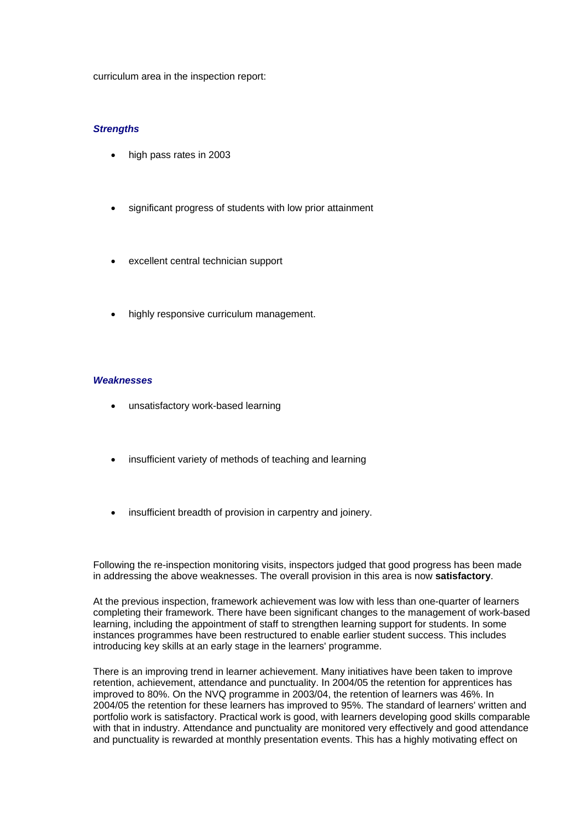curriculum area in the inspection report:

### *Strengths*

- high pass rates in 2003
- significant progress of students with low prior attainment
- excellent central technician support
- highly responsive curriculum management.

### *Weaknesses*

- unsatisfactory work-based learning
- insufficient variety of methods of teaching and learning
- insufficient breadth of provision in carpentry and joinery.

Following the re-inspection monitoring visits, inspectors judged that good progress has been made in addressing the above weaknesses. The overall provision in this area is now **satisfactory**.

At the previous inspection, framework achievement was low with less than one-quarter of learners completing their framework. There have been significant changes to the management of work-based learning, including the appointment of staff to strengthen learning support for students. In some instances programmes have been restructured to enable earlier student success. This includes introducing key skills at an early stage in the learners' programme.

There is an improving trend in learner achievement. Many initiatives have been taken to improve retention, achievement, attendance and punctuality. In 2004/05 the retention for apprentices has improved to 80%. On the NVQ programme in 2003/04, the retention of learners was 46%. In 2004/05 the retention for these learners has improved to 95%. The standard of learners' written and portfolio work is satisfactory. Practical work is good, with learners developing good skills comparable with that in industry. Attendance and punctuality are monitored very effectively and good attendance and punctuality is rewarded at monthly presentation events. This has a highly motivating effect on